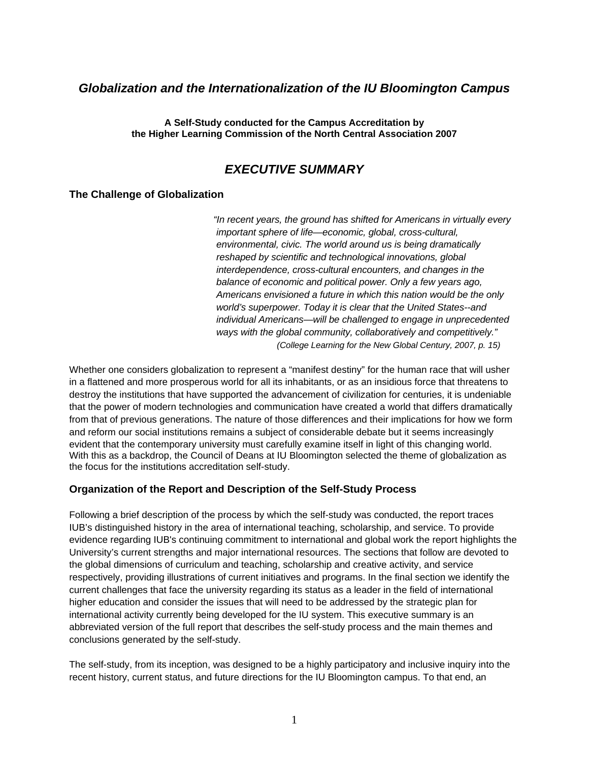# *Globalization and the Internationalization of the IU Bloomington Campus*

**A Self-Study conducted for the Campus Accreditation by the Higher Learning Commission of the North Central Association 2007** 

## *EXECUTIVE SUMMARY*

#### **The Challenge of Globalization**

*"In recent years, the ground has shifted for Americans in virtually every important sphere of life—economic, global, cross-cultural, environmental, civic. The world around us is being dramatically reshaped by scientific and technological innovations, global interdependence, cross-cultural encounters, and changes in the balance of economic and political power. Only a few years ago, Americans envisioned a future in which this nation would be the only world's superpower. Today it is clear that the United States--and individual Americans—will be challenged to engage in unprecedented ways with the global community, collaboratively and competitively." (College Learning for the New Global Century, 2007, p. 15)* 

Whether one considers globalization to represent a "manifest destiny" for the human race that will usher in a flattened and more prosperous world for all its inhabitants, or as an insidious force that threatens to destroy the institutions that have supported the advancement of civilization for centuries, it is undeniable that the power of modern technologies and communication have created a world that differs dramatically from that of previous generations. The nature of those differences and their implications for how we form and reform our social institutions remains a subject of considerable debate but it seems increasingly evident that the contemporary university must carefully examine itself in light of this changing world. With this as a backdrop, the Council of Deans at IU Bloomington selected the theme of globalization as the focus for the institutions accreditation self-study.

#### **Organization of the Report and Description of the Self-Study Process**

Following a brief description of the process by which the self-study was conducted, the report traces IUB's distinguished history in the area of international teaching, scholarship, and service. To provide evidence regarding IUB's continuing commitment to international and global work the report highlights the University's current strengths and major international resources. The sections that follow are devoted to the global dimensions of curriculum and teaching, scholarship and creative activity, and service respectively, providing illustrations of current initiatives and programs. In the final section we identify the current challenges that face the university regarding its status as a leader in the field of international higher education and consider the issues that will need to be addressed by the strategic plan for international activity currently being developed for the IU system. This executive summary is an abbreviated version of the full report that describes the self-study process and the main themes and conclusions generated by the self-study.

The self-study, from its inception, was designed to be a highly participatory and inclusive inquiry into the recent history, current status, and future directions for the IU Bloomington campus. To that end, an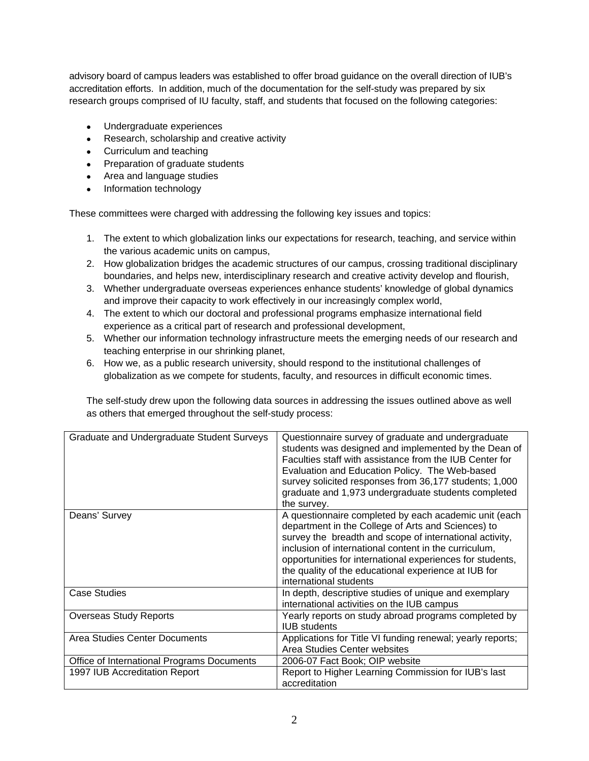advisory board of campus leaders was established to offer broad guidance on the overall direction of IUB's accreditation efforts. In addition, much of the documentation for the self-study was prepared by six research groups comprised of IU faculty, staff, and students that focused on the following categories:

- Undergraduate experiences
- Research, scholarship and creative activity
- Curriculum and teaching
- Preparation of graduate students
- Area and language studies
- Information technology

These committees were charged with addressing the following key issues and topics:

- 1. The extent to which globalization links our expectations for research, teaching, and service within the various academic units on campus,
- 2. How globalization bridges the academic structures of our campus, crossing traditional disciplinary boundaries, and helps new, interdisciplinary research and creative activity develop and flourish,
- 3. Whether undergraduate overseas experiences enhance students' knowledge of global dynamics and improve their capacity to work effectively in our increasingly complex world,
- 4. The extent to which our doctoral and professional programs emphasize international field experience as a critical part of research and professional development,
- 5. Whether our information technology infrastructure meets the emerging needs of our research and teaching enterprise in our shrinking planet,
- 6. How we, as a public research university, should respond to the institutional challenges of globalization as we compete for students, faculty, and resources in difficult economic times.

The self-study drew upon the following data sources in addressing the issues outlined above as well as others that emerged throughout the self-study process:

| Graduate and Undergraduate Student Surveys | Questionnaire survey of graduate and undergraduate<br>students was designed and implemented by the Dean of<br>Faculties staff with assistance from the IUB Center for<br>Evaluation and Education Policy. The Web-based<br>survey solicited responses from 36,177 students; 1,000<br>graduate and 1,973 undergraduate students completed<br>the survey.                        |
|--------------------------------------------|--------------------------------------------------------------------------------------------------------------------------------------------------------------------------------------------------------------------------------------------------------------------------------------------------------------------------------------------------------------------------------|
| Deans' Survey                              | A questionnaire completed by each academic unit (each<br>department in the College of Arts and Sciences) to<br>survey the breadth and scope of international activity,<br>inclusion of international content in the curriculum,<br>opportunities for international experiences for students,<br>the quality of the educational experience at IUB for<br>international students |
| <b>Case Studies</b>                        | In depth, descriptive studies of unique and exemplary<br>international activities on the IUB campus                                                                                                                                                                                                                                                                            |
| <b>Overseas Study Reports</b>              | Yearly reports on study abroad programs completed by<br><b>IUB</b> students                                                                                                                                                                                                                                                                                                    |
| Area Studies Center Documents              | Applications for Title VI funding renewal; yearly reports;<br>Area Studies Center websites                                                                                                                                                                                                                                                                                     |
| Office of International Programs Documents | 2006-07 Fact Book; OIP website                                                                                                                                                                                                                                                                                                                                                 |
| 1997 IUB Accreditation Report              | Report to Higher Learning Commission for IUB's last<br>accreditation                                                                                                                                                                                                                                                                                                           |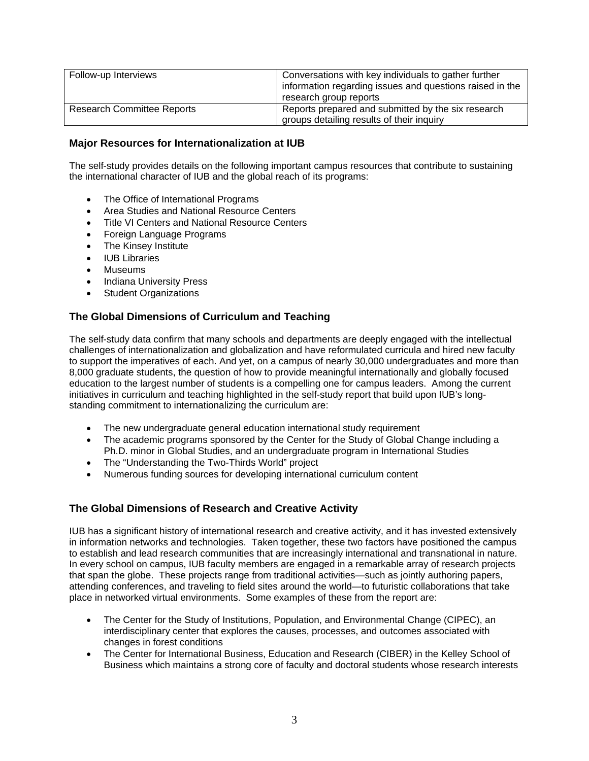| Follow-up Interviews              | Conversations with key individuals to gather further<br>information regarding issues and questions raised in the<br>research group reports |
|-----------------------------------|--------------------------------------------------------------------------------------------------------------------------------------------|
| <b>Research Committee Reports</b> | Reports prepared and submitted by the six research<br>groups detailing results of their inquiry                                            |

### **Major Resources for Internationalization at IUB**

The self-study provides details on the following important campus resources that contribute to sustaining the international character of IUB and the global reach of its programs:

- The Office of International Programs
- Area Studies and National Resource Centers
- Title VI Centers and National Resource Centers
- Foreign Language Programs
- The Kinsey Institute
- IUB Libraries
- Museums
- Indiana University Press
- Student Organizations

### **The Global Dimensions of Curriculum and Teaching**

The self-study data confirm that many schools and departments are deeply engaged with the intellectual challenges of internationalization and globalization and have reformulated curricula and hired new faculty to support the imperatives of each. And yet, on a campus of nearly 30,000 undergraduates and more than 8,000 graduate students, the question of how to provide meaningful internationally and globally focused education to the largest number of students is a compelling one for campus leaders. Among the current initiatives in curriculum and teaching highlighted in the self-study report that build upon IUB's longstanding commitment to internationalizing the curriculum are:

- The new undergraduate general education international study requirement
- The academic programs sponsored by the Center for the Study of Global Change including a Ph.D. minor in Global Studies, and an undergraduate program in International Studies
- The "Understanding the Two-Thirds World" project
- Numerous funding sources for developing international curriculum content

### **The Global Dimensions of Research and Creative Activity**

IUB has a significant history of international research and creative activity, and it has invested extensively in information networks and technologies. Taken together, these two factors have positioned the campus to establish and lead research communities that are increasingly international and transnational in nature. In every school on campus, IUB faculty members are engaged in a remarkable array of research projects that span the globe. These projects range from traditional activities—such as jointly authoring papers, attending conferences, and traveling to field sites around the world—to futuristic collaborations that take place in networked virtual environments. Some examples of these from the report are:

- The Center for the Study of Institutions, Population, and Environmental Change (CIPEC), an interdisciplinary center that explores the causes, processes, and outcomes associated with changes in forest conditions
- The Center for International Business, Education and Research (CIBER) in the Kelley School of Business which maintains a strong core of faculty and doctoral students whose research interests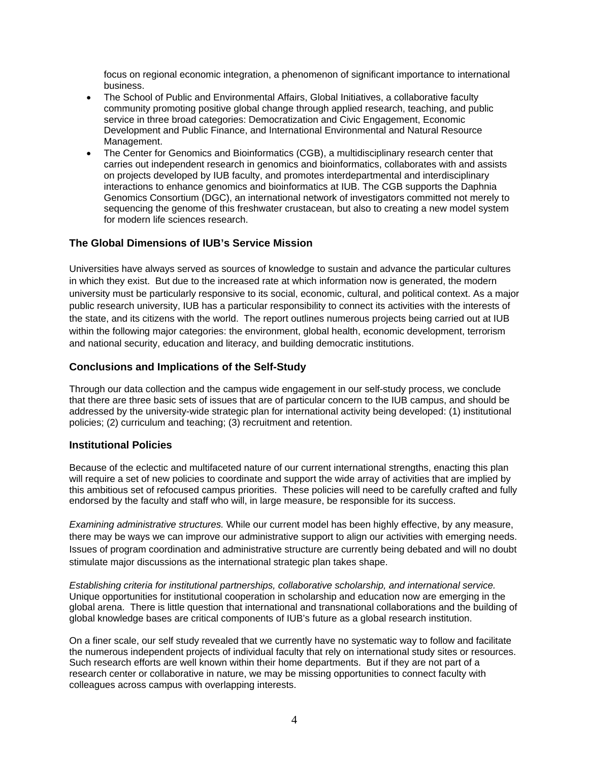focus on regional economic integration, a phenomenon of significant importance to international business.

- The School of Public and Environmental Affairs, Global Initiatives, a collaborative faculty community promoting positive global change through applied research, teaching, and public service in three broad categories: Democratization and Civic Engagement, Economic Development and Public Finance, and International Environmental and Natural Resource Management.
- The Center for Genomics and Bioinformatics (CGB), a multidisciplinary research center that carries out independent research in genomics and bioinformatics, collaborates with and assists on projects developed by IUB faculty, and promotes interdepartmental and interdisciplinary interactions to enhance genomics and bioinformatics at IUB. The CGB supports the Daphnia Genomics Consortium (DGC), an international network of investigators committed not merely to sequencing the genome of this freshwater crustacean, but also to creating a new model system for modern life sciences research

### **The Global Dimensions of IUB's Service Mission**

Universities have always served as sources of knowledge to sustain and advance the particular cultures in which they exist. But due to the increased rate at which information now is generated, the modern university must be particularly responsive to its social, economic, cultural, and political context. As a major public research university, IUB has a particular responsibility to connect its activities with the interests of the state, and its citizens with the world. The report outlines numerous projects being carried out at IUB within the following major categories: the environment, global health, economic development, terrorism and national security, education and literacy, and building democratic institutions.

#### **Conclusions and Implications of the Self-Study**

Through our data collection and the campus wide engagement in our self-study process, we conclude that there are three basic sets of issues that are of particular concern to the IUB campus, and should be addressed by the university-wide strategic plan for international activity being developed: (1) institutional policies; (2) curriculum and teaching; (3) recruitment and retention.

#### **Institutional Policies**

Because of the eclectic and multifaceted nature of our current international strengths, enacting this plan will require a set of new policies to coordinate and support the wide array of activities that are implied by this ambitious set of refocused campus priorities. These policies will need to be carefully crafted and fully endorsed by the faculty and staff who will, in large measure, be responsible for its success.

*Examining administrative structures.* While our current model has been highly effective, by any measure, there may be ways we can improve our administrative support to align our activities with emerging needs. Issues of program coordination and administrative structure are currently being debated and will no doubt stimulate major discussions as the international strategic plan takes shape.

*Establishing criteria for institutional partnerships, collaborative scholarship, and international service.*  Unique opportunities for institutional cooperation in scholarship and education now are emerging in the global arena. There is little question that international and transnational collaborations and the building of global knowledge bases are critical components of IUB's future as a global research institution.

On a finer scale, our self study revealed that we currently have no systematic way to follow and facilitate the numerous independent projects of individual faculty that rely on international study sites or resources. Such research efforts are well known within their home departments. But if they are not part of a research center or collaborative in nature, we may be missing opportunities to connect faculty with colleagues across campus with overlapping interests.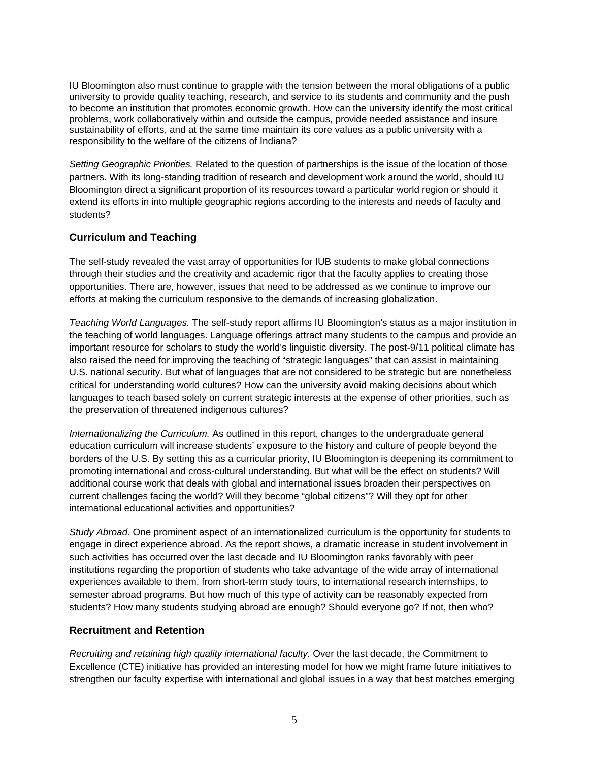IU Bloomington also must continue to grapple with the tension between the moral obligations of a public university to provide quality teaching, research, and service to its students and community and the push to become an institution that promotes economic growth. How can the university identify the most critical problems, work collaboratively within and outside the campus, provide needed assistance and insure sustainability of efforts, and at the same time maintain its core values as a public university with a responsibility to the welfare of the citizens of Indiana?

*Setting Geographic Priorities.* Related to the question of partnerships is the issue of the location of those partners. With its long-standing tradition of research and development work around the world, should IU Bloomington direct a significant proportion of its resources toward a particular world region or should it extend its efforts in into multiple geographic regions according to the interests and needs of faculty and students?

### **Curriculum and Teaching**

The self-study revealed the vast array of opportunities for IUB students to make global connections through their studies and the creativity and academic rigor that the faculty applies to creating those opportunities. There are, however, issues that need to be addressed as we continue to improve our efforts at making the curriculum responsive to the demands of increasing globalization.

*Teaching World Languages.* The self-study report affirms IU Bloomington's status as a major institution in the teaching of world languages. Language offerings attract many students to the campus and provide an important resource for scholars to study the world's linguistic diversity. The post-9/11 political climate has also raised the need for improving the teaching of "strategic languages" that can assist in maintaining U.S. national security. But what of languages that are not considered to be strategic but are nonetheless critical for understanding world cultures? How can the university avoid making decisions about which languages to teach based solely on current strategic interests at the expense of other priorities, such as the preservation of threatened indigenous cultures?

*Internationalizing the Curriculum.* As outlined in this report, changes to the undergraduate general education curriculum will increase students' exposure to the history and culture of people beyond the borders of the U.S. By setting this as a curricular priority, IU Bloomington is deepening its commitment to promoting international and cross-cultural understanding. But what will be the effect on students? Will additional course work that deals with global and international issues broaden their perspectives on current challenges facing the world? Will they become "global citizens"? Will they opt for other international educational activities and opportunities?

*Study Abroad.* One prominent aspect of an internationalized curriculum is the opportunity for students to engage in direct experience abroad. As the report shows, a dramatic increase in student involvement in such activities has occurred over the last decade and IU Bloomington ranks favorably with peer institutions regarding the proportion of students who take advantage of the wide array of international experiences available to them, from short-term study tours, to international research internships, to semester abroad programs. But how much of this type of activity can be reasonably expected from students? How many students studying abroad are enough? Should everyone go? If not, then who?

#### **Recruitment and Retention**

*Recruiting and retaining high quality international faculty.* Over the last decade, the Commitment to Excellence (CTE) initiative has provided an interesting model for how we might frame future initiatives to strengthen our faculty expertise with international and global issues in a way that best matches emerging